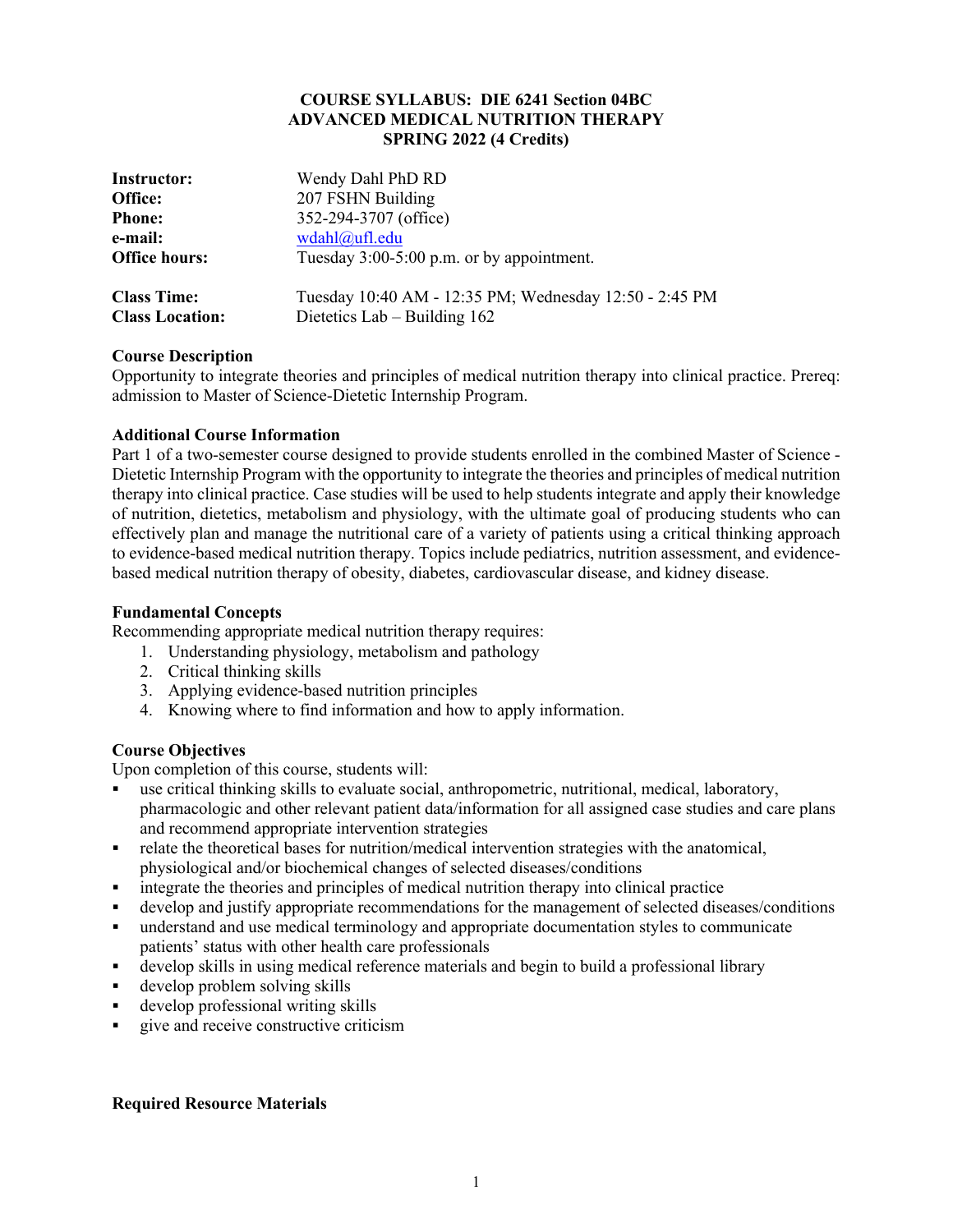#### **COURSE SYLLABUS: DIE 6241 Section 04BC ADVANCED MEDICAL NUTRITION THERAPY SPRING 2022 (4 Credits)**

| <b>Instructor:</b>     | Wendy Dahl PhD RD                                      |
|------------------------|--------------------------------------------------------|
| Office:                | 207 FSHN Building                                      |
| <b>Phone:</b>          | 352-294-3707 (office)                                  |
| e-mail:                | wdahl@ufl.edu                                          |
| <b>Office hours:</b>   | Tuesday 3:00-5:00 p.m. or by appointment.              |
| <b>Class Time:</b>     | Tuesday 10:40 AM - 12:35 PM; Wednesday 12:50 - 2:45 PM |
| <b>Class Location:</b> | Dietetics Lab $-$ Building 162                         |

# **Course Description**

Opportunity to integrate theories and principles of medical nutrition therapy into clinical practice. Prereq: admission to Master of Science-Dietetic Internship Program.

# **Additional Course Information**

Part 1 of a two-semester course designed to provide students enrolled in the combined Master of Science - Dietetic Internship Program with the opportunity to integrate the theories and principles of medical nutrition therapy into clinical practice. Case studies will be used to help students integrate and apply their knowledge of nutrition, dietetics, metabolism and physiology, with the ultimate goal of producing students who can effectively plan and manage the nutritional care of a variety of patients using a critical thinking approach to evidence-based medical nutrition therapy. Topics include pediatrics, nutrition assessment, and evidencebased medical nutrition therapy of obesity, diabetes, cardiovascular disease, and kidney disease.

# **Fundamental Concepts**

Recommending appropriate medical nutrition therapy requires:

- 1. Understanding physiology, metabolism and pathology
- 2. Critical thinking skills
- 3. Applying evidence-based nutrition principles
- 4. Knowing where to find information and how to apply information.

### **Course Objectives**

Upon completion of this course, students will:

- § use critical thinking skills to evaluate social, anthropometric, nutritional, medical, laboratory, pharmacologic and other relevant patient data/information for all assigned case studies and care plans and recommend appropriate intervention strategies
- relate the theoretical bases for nutrition/medical intervention strategies with the anatomical, physiological and/or biochemical changes of selected diseases/conditions
- § integrate the theories and principles of medical nutrition therapy into clinical practice
- develop and justify appropriate recommendations for the management of selected diseases/conditions
- understand and use medical terminology and appropriate documentation styles to communicate patients' status with other health care professionals
- develop skills in using medical reference materials and begin to build a professional library
- § develop problem solving skills
- § develop professional writing skills
- § give and receive constructive criticism

# **Required Resource Materials**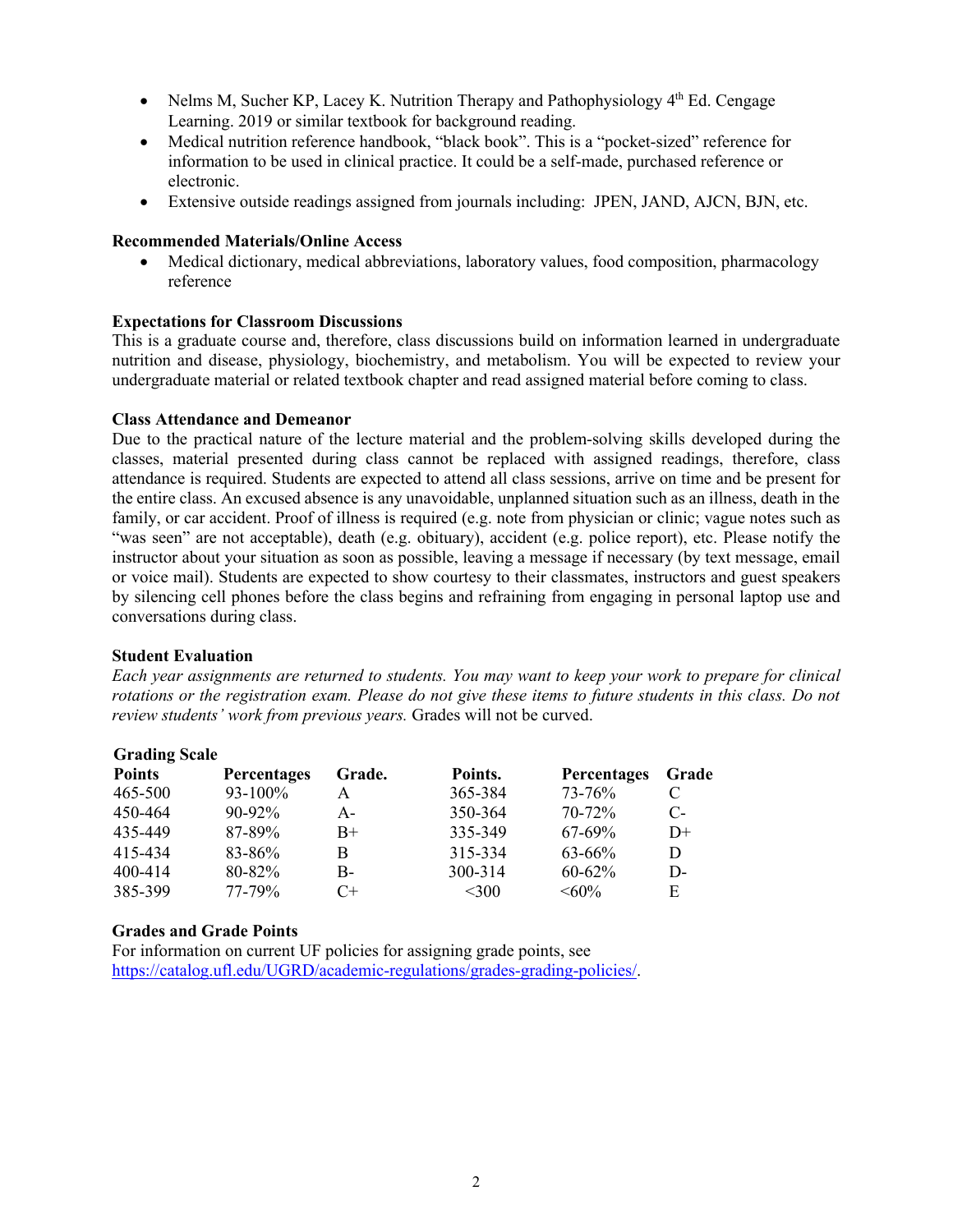- Nelms M, Sucher KP, Lacey K. Nutrition Therapy and Pathophysiology  $4<sup>th</sup>$  Ed. Cengage Learning. 2019 or similar textbook for background reading.
- Medical nutrition reference handbook, "black book". This is a "pocket-sized" reference for information to be used in clinical practice. It could be a self-made, purchased reference or electronic.
- Extensive outside readings assigned from journals including: JPEN, JAND, AJCN, BJN, etc.

# **Recommended Materials/Online Access**

• Medical dictionary, medical abbreviations, laboratory values, food composition, pharmacology reference

# **Expectations for Classroom Discussions**

This is a graduate course and, therefore, class discussions build on information learned in undergraduate nutrition and disease, physiology, biochemistry, and metabolism. You will be expected to review your undergraduate material or related textbook chapter and read assigned material before coming to class.

### **Class Attendance and Demeanor**

Due to the practical nature of the lecture material and the problem-solving skills developed during the classes, material presented during class cannot be replaced with assigned readings, therefore, class attendance is required. Students are expected to attend all class sessions, arrive on time and be present for the entire class. An excused absence is any unavoidable, unplanned situation such as an illness, death in the family, or car accident. Proof of illness is required (e.g. note from physician or clinic; vague notes such as "was seen" are not acceptable), death (e.g. obituary), accident (e.g. police report), etc. Please notify the instructor about your situation as soon as possible, leaving a message if necessary (by text message, email or voice mail). Students are expected to show courtesy to their classmates, instructors and guest speakers by silencing cell phones before the class begins and refraining from engaging in personal laptop use and conversations during class.

### **Student Evaluation**

*Each year assignments are returned to students. You may want to keep your work to prepare for clinical rotations or the registration exam. Please do not give these items to future students in this class. Do not review students' work from previous years.* Grades will not be curved.

| <b>Grading Scale</b> |                    |        |         |                    |       |
|----------------------|--------------------|--------|---------|--------------------|-------|
| <b>Points</b>        | <b>Percentages</b> | Grade. | Points. | <b>Percentages</b> | Grade |
| 465-500              | 93-100%            | А      | 365-384 | 73-76%             | C     |
| 450-464              | $90 - 92\%$        | A-     | 350-364 | $70 - 72%$         | $C$ - |
| 435-449              | 87-89%             | $B+$   | 335-349 | $67-69\%$          | $D+$  |
| 415-434              | 83-86%             | B      | 315-334 | $63 - 66\%$        | D     |
| 400-414              | 80-82%             | $B -$  | 300-314 | $60 - 62\%$        | D-    |
| 385-399              | 77-79%             | $C+$   | $<$ 300 | $<60\%$            | E     |

### **Grades and Grade Points**

For information on current UF policies for assigning grade points, see https://catalog.ufl.edu/UGRD/academic-regulations/grades-grading-policies/.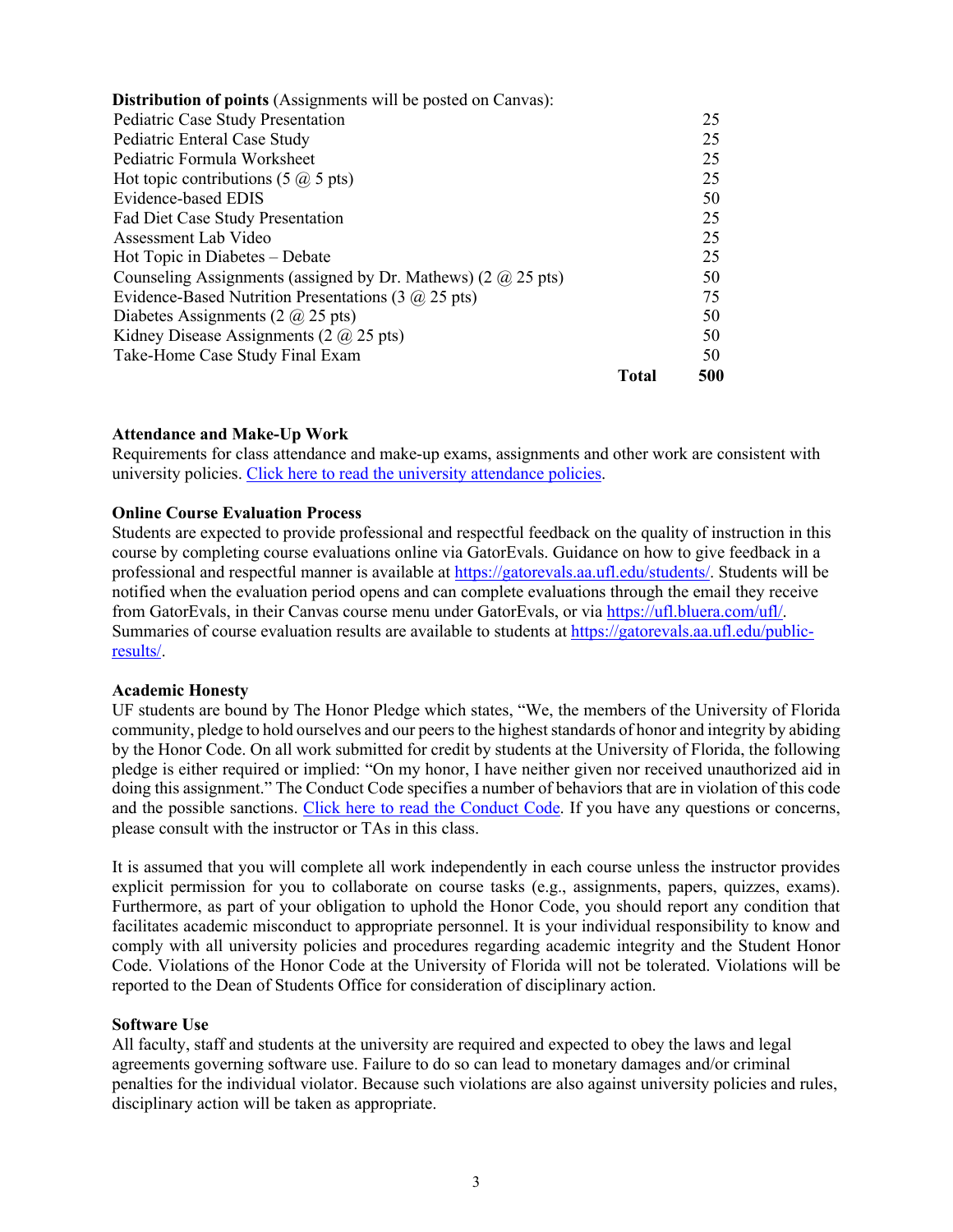| <b>Distribution of points</b> (Assignments will be posted on Canvas):             |       |     |
|-----------------------------------------------------------------------------------|-------|-----|
| Pediatric Case Study Presentation                                                 |       | 25  |
| Pediatric Enteral Case Study                                                      |       | 25  |
| Pediatric Formula Worksheet                                                       |       | 25  |
| Hot topic contributions $(5 \hat{\omega}, 5 \text{ pts})$                         |       | 25  |
| Evidence-based EDIS                                                               |       | 50  |
| Fad Diet Case Study Presentation                                                  |       | 25  |
| Assessment Lab Video                                                              |       | 25  |
| Hot Topic in Diabetes – Debate                                                    |       | 25  |
| Counseling Assignments (assigned by Dr. Mathews) $(2 \text{ (}a) 25 \text{ pts})$ |       | 50  |
| Evidence-Based Nutrition Presentations (3 $\omega$ 25 pts)                        |       | 75  |
| Diabetes Assignments (2 $\omega$ 25 pts)                                          |       | 50  |
| Kidney Disease Assignments (2 $\omega$ 25 pts)                                    |       | 50  |
| Take-Home Case Study Final Exam                                                   |       | 50  |
|                                                                                   | Total | 500 |

#### **Attendance and Make-Up Work**

Requirements for class attendance and make-up exams, assignments and other work are consistent with university policies. Click here to read the university attendance policies.

#### **Online Course Evaluation Process**

Students are expected to provide professional and respectful feedback on the quality of instruction in this course by completing course evaluations online via GatorEvals. Guidance on how to give feedback in a professional and respectful manner is available at https://gatorevals.aa.ufl.edu/students/. Students will be notified when the evaluation period opens and can complete evaluations through the email they receive from GatorEvals, in their Canvas course menu under GatorEvals, or via https://ufl.bluera.com/ufl/. Summaries of course evaluation results are available to students at https://gatorevals.aa.ufl.edu/publicresults/.

#### **Academic Honesty**

UF students are bound by The Honor Pledge which states, "We, the members of the University of Florida community, pledge to hold ourselves and our peers to the highest standards of honor and integrity by abiding by the Honor Code. On all work submitted for credit by students at the University of Florida, the following pledge is either required or implied: "On my honor, I have neither given nor received unauthorized aid in doing this assignment." The Conduct Code specifies a number of behaviors that are in violation of this code and the possible sanctions. Click here to read the Conduct Code. If you have any questions or concerns, please consult with the instructor or TAs in this class.

It is assumed that you will complete all work independently in each course unless the instructor provides explicit permission for you to collaborate on course tasks (e.g., assignments, papers, quizzes, exams). Furthermore, as part of your obligation to uphold the Honor Code, you should report any condition that facilitates academic misconduct to appropriate personnel. It is your individual responsibility to know and comply with all university policies and procedures regarding academic integrity and the Student Honor Code. Violations of the Honor Code at the University of Florida will not be tolerated. Violations will be reported to the Dean of Students Office for consideration of disciplinary action.

#### **Software Use**

All faculty, staff and students at the university are required and expected to obey the laws and legal agreements governing software use. Failure to do so can lead to monetary damages and/or criminal penalties for the individual violator. Because such violations are also against university policies and rules, disciplinary action will be taken as appropriate.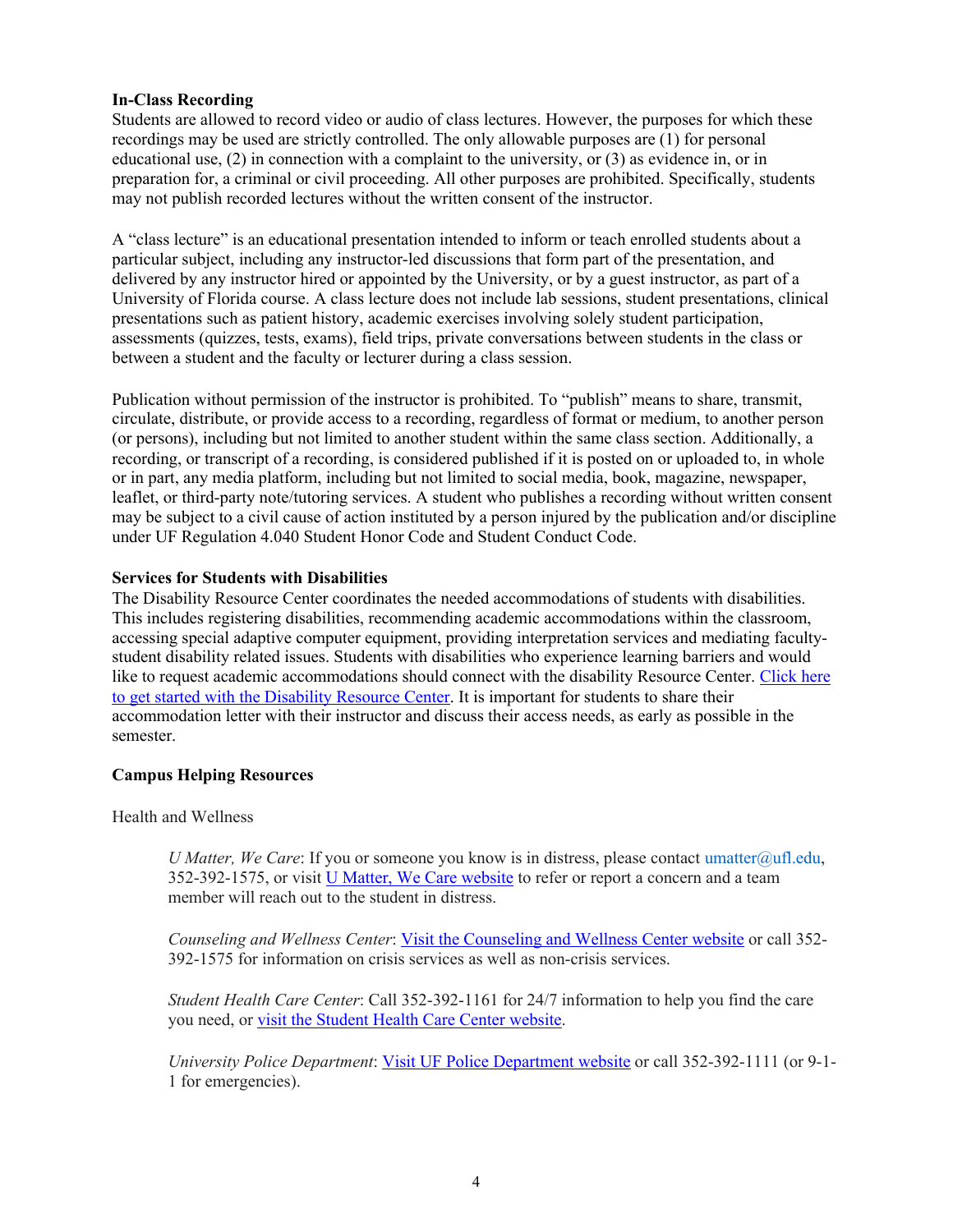# **In-Class Recording**

Students are allowed to record video or audio of class lectures. However, the purposes for which these recordings may be used are strictly controlled. The only allowable purposes are (1) for personal educational use, (2) in connection with a complaint to the university, or (3) as evidence in, or in preparation for, a criminal or civil proceeding. All other purposes are prohibited. Specifically, students may not publish recorded lectures without the written consent of the instructor.

A "class lecture" is an educational presentation intended to inform or teach enrolled students about a particular subject, including any instructor-led discussions that form part of the presentation, and delivered by any instructor hired or appointed by the University, or by a guest instructor, as part of a University of Florida course. A class lecture does not include lab sessions, student presentations, clinical presentations such as patient history, academic exercises involving solely student participation, assessments (quizzes, tests, exams), field trips, private conversations between students in the class or between a student and the faculty or lecturer during a class session.

Publication without permission of the instructor is prohibited. To "publish" means to share, transmit, circulate, distribute, or provide access to a recording, regardless of format or medium, to another person (or persons), including but not limited to another student within the same class section. Additionally, a recording, or transcript of a recording, is considered published if it is posted on or uploaded to, in whole or in part, any media platform, including but not limited to social media, book, magazine, newspaper, leaflet, or third-party note/tutoring services. A student who publishes a recording without written consent may be subject to a civil cause of action instituted by a person injured by the publication and/or discipline under UF Regulation 4.040 Student Honor Code and Student Conduct Code.

### **Services for Students with Disabilities**

The Disability Resource Center coordinates the needed accommodations of students with disabilities. This includes registering disabilities, recommending academic accommodations within the classroom, accessing special adaptive computer equipment, providing interpretation services and mediating facultystudent disability related issues. Students with disabilities who experience learning barriers and would like to request academic accommodations should connect with the disability Resource Center. Click here to get started with the Disability Resource Center. It is important for students to share their accommodation letter with their instructor and discuss their access needs, as early as possible in the semester.

# **Campus Helping Resources**

Health and Wellness

*U Matter, We Care*: If you or someone you know is in distress, please contact umatter@ufl.edu, 352-392-1575, or visit U Matter, We Care website to refer or report a concern and a team member will reach out to the student in distress.

*Counseling and Wellness Center*: Visit the Counseling and Wellness Center website or call 352- 392-1575 for information on crisis services as well as non-crisis services.

*Student Health Care Center*: Call 352-392-1161 for 24/7 information to help you find the care you need, or visit the Student Health Care Center website.

*University Police Department*: Visit UF Police Department website or call 352-392-1111 (or 9-1- 1 for emergencies).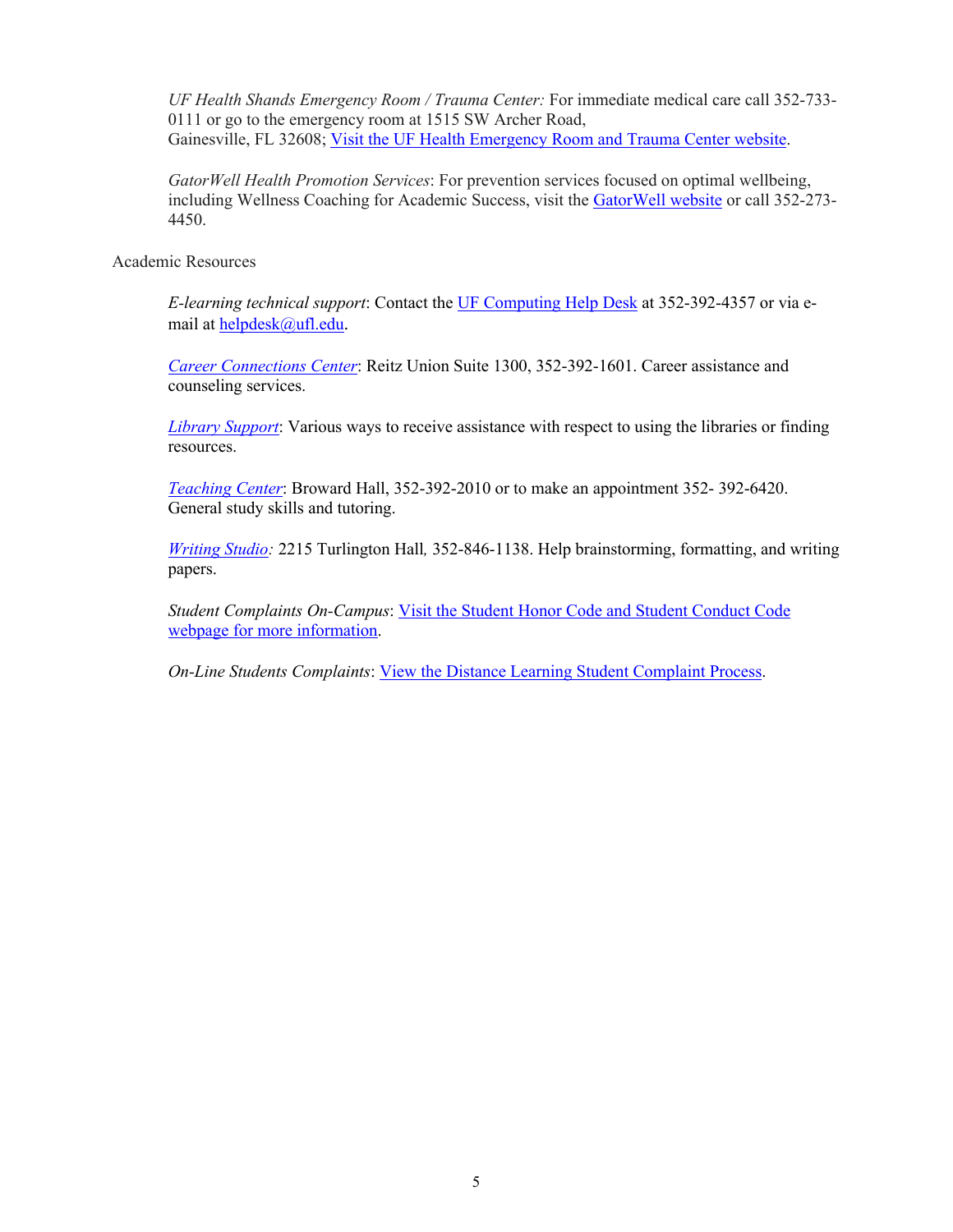*UF Health Shands Emergency Room / Trauma Center:* For immediate medical care call 352-733- 0111 or go to the emergency room at 1515 SW Archer Road, Gainesville, FL 32608; Visit the UF Health Emergency Room and Trauma Center website.

*GatorWell Health Promotion Services*: For prevention services focused on optimal wellbeing, including Wellness Coaching for Academic Success, visit the GatorWell website or call 352-273- 4450.

Academic Resources

*E-learning technical support*: Contact the UF Computing Help Desk at 352-392-4357 or via email at helpdesk@ufl.edu.

*Career Connections Center*: Reitz Union Suite 1300, 352-392-1601. Career assistance and counseling services.

*Library Support*: Various ways to receive assistance with respect to using the libraries or finding resources.

*Teaching Center*: Broward Hall, 352-392-2010 or to make an appointment 352- 392-6420. General study skills and tutoring.

*Writing Studio:* 2215 Turlington Hall*,* 352-846-1138. Help brainstorming, formatting, and writing papers.

*Student Complaints On-Campus*: Visit the Student Honor Code and Student Conduct Code webpage for more information.

*On-Line Students Complaints*: View the Distance Learning Student Complaint Process.